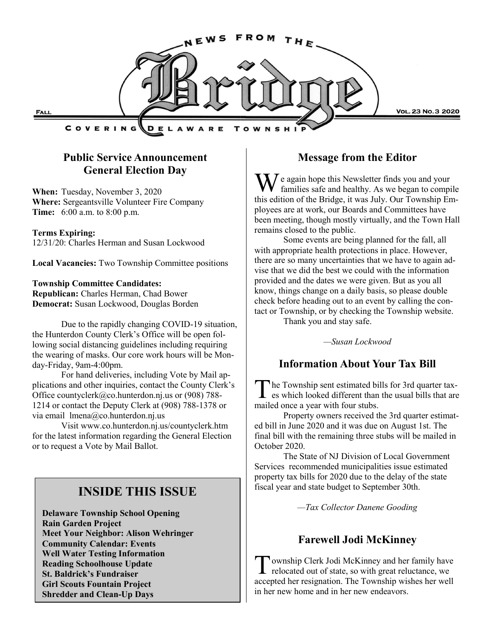

# **Public Service Announcement General Election Day**

**When:** Tuesday, November 3, 2020 **Where:** Sergeantsville Volunteer Fire Company **Time:** 6:00 a.m. to 8:00 p.m.

#### **Terms Expiring:**

12/31/20: Charles Herman and Susan Lockwood

**Local Vacancies:** Two Township Committee positions

#### **Township Committee Candidates:**

**Republican:** Charles Herman, Chad Bower **Democrat:** Susan Lockwood, Douglas Borden

Due to the rapidly changing COVID-19 situation, the Hunterdon County Clerk's Office will be open following social distancing guidelines including requiring the wearing of masks. Our core work hours will be Monday-Friday, 9am-4:00pm.

For hand deliveries, including Vote by Mail applications and other inquiries, contact the County Clerk's Office countyclerk@co.hunterdon.nj.us or (908) 788- 1214 or contact the Deputy Clerk at (908) 788-1378 or via email lmena@co.hunterdon.nj.us

Visit www.co.hunterdon.nj.us/countyclerk.htm for the latest information regarding the General Election or to request a Vote by Mail Ballot.

# **INSIDE THIS ISSUE**

**Delaware Township School Opening Rain Garden Project Meet Your Neighbor: Alison Wehringer Community Calendar: Events Well Water Testing Information Reading Schoolhouse Update St. Baldrick's Fundraiser Girl Scouts Fountain Project Shredder and Clean-Up Days**

# **Message from the Editor**

 $\sum I$  e again hope this Newsletter finds you and your families safe and healthy. As we began to compile this edition of the Bridge, it was July. Our Township Employees are at work, our Boards and Committees have been meeting, though mostly virtually, and the Town Hall remains closed to the public.

Some events are being planned for the fall, all with appropriate health protections in place. However, there are so many uncertainties that we have to again advise that we did the best we could with the information provided and the dates we were given. But as you all know, things change on a daily basis, so please double check before heading out to an event by calling the contact or Township, or by checking the Township website. Thank you and stay safe.

*—Susan Lockwood*

# **Information About Your Tax Bill**

The Township sent estimated bills for 3rd quarter tax-<br>es which looked different than the usual bills that are he Township sent estimated bills for 3rd quarter taxmailed once a year with four stubs.

Property owners received the 3rd quarter estimated bill in June 2020 and it was due on August 1st. The final bill with the remaining three stubs will be mailed in October 2020.

The State of NJ Division of Local Government Services recommended municipalities issue estimated property tax bills for 2020 due to the delay of the state fiscal year and state budget to September 30th.

*—Tax Collector Danene Gooding*

# **Farewell Jodi McKinney**

T ownship Clerk Jodi McKinney and her family have<br>relocated out of state, so with great reluctance, we ownship Clerk Jodi McKinney and her family have accepted her resignation. The Township wishes her well in her new home and in her new endeavors.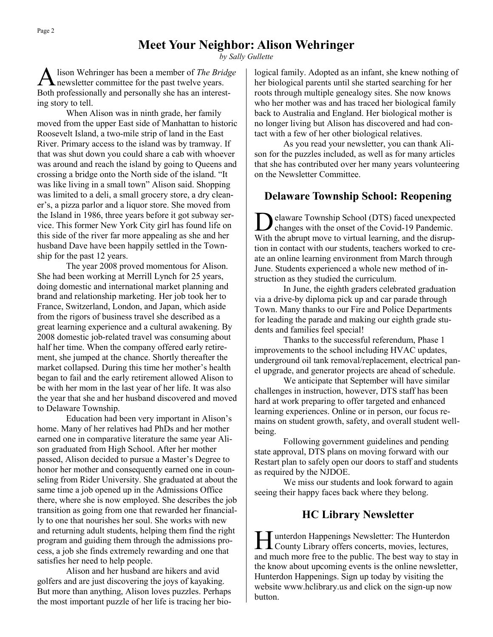*by Sally Gullette*

A lison Wehringer has been a member of *The Brid*<br>newsletter committee for the past twelve years. lison Wehringer has been a member of *The Bridge*  Both professionally and personally she has an interesting story to tell.

When Alison was in ninth grade, her family moved from the upper East side of Manhattan to historic Roosevelt Island, a two-mile strip of land in the East River. Primary access to the island was by tramway. If that was shut down you could share a cab with whoever was around and reach the island by going to Queens and crossing a bridge onto the North side of the island. "It was like living in a small town" Alison said. Shopping was limited to a deli, a small grocery store, a dry cleaner's, a pizza parlor and a liquor store. She moved from the Island in 1986, three years before it got subway service. This former New York City girl has found life on this side of the river far more appealing as she and her husband Dave have been happily settled in the Township for the past 12 years.

The year 2008 proved momentous for Alison. She had been working at Merrill Lynch for 25 years, doing domestic and international market planning and brand and relationship marketing. Her job took her to France, Switzerland, London, and Japan, which aside from the rigors of business travel she described as a great learning experience and a cultural awakening. By 2008 domestic job-related travel was consuming about half her time. When the company offered early retirement, she jumped at the chance. Shortly thereafter the market collapsed. During this time her mother's health began to fail and the early retirement allowed Alison to be with her mom in the last year of her life. It was also the year that she and her husband discovered and moved to Delaware Township.

Education had been very important in Alison's home. Many of her relatives had PhDs and her mother earned one in comparative literature the same year Alison graduated from High School. After her mother passed, Alison decided to pursue a Master's Degree to honor her mother and consequently earned one in counseling from Rider University. She graduated at about the same time a job opened up in the Admissions Office there, where she is now employed. She describes the job transition as going from one that rewarded her financially to one that nourishes her soul. She works with new and returning adult students, helping them find the right program and guiding them through the admissions process, a job she finds extremely rewarding and one that satisfies her need to help people.

Alison and her husband are hikers and avid golfers and are just discovering the joys of kayaking. But more than anything, Alison loves puzzles. Perhaps the most important puzzle of her life is tracing her biological family. Adopted as an infant, she knew nothing of her biological parents until she started searching for her roots through multiple genealogy sites. She now knows who her mother was and has traced her biological family back to Australia and England. Her biological mother is no longer living but Alison has discovered and had contact with a few of her other biological relatives.

As you read your newsletter, you can thank Alison for the puzzles included, as well as for many articles that she has contributed over her many years volunteering on the Newsletter Committee.

# **Delaware Township School: Reopening**

D elaware Township School (DTS) faced unexpected changes with the onset of the Covid-19 Pandemic. With the abrupt move to virtual learning, and the disruption in contact with our students, teachers worked to create an online learning environment from March through June. Students experienced a whole new method of instruction as they studied the curriculum.

In June, the eighth graders celebrated graduation via a drive-by diploma pick up and car parade through Town. Many thanks to our Fire and Police Departments for leading the parade and making our eighth grade students and families feel special!

Thanks to the successful referendum, Phase 1 improvements to the school including HVAC updates, underground oil tank removal/replacement, electrical panel upgrade, and generator projects are ahead of schedule.

We anticipate that September will have similar challenges in instruction, however, DTS staff has been hard at work preparing to offer targeted and enhanced learning experiences. Online or in person, our focus remains on student growth, safety, and overall student wellbeing.

Following government guidelines and pending state approval, DTS plans on moving forward with our Restart plan to safely open our doors to staff and students as required by the NJDOE.

We miss our students and look forward to again seeing their happy faces back where they belong.

# **HC Library Newsletter**

Hunterdon Happenings Newsletter: The Hunterdon<br>County Library offers concerts, movies, lectures, I unterdon Happenings Newsletter: The Hunterdon and much more free to the public. The best way to stay in the know about upcoming events is the online newsletter, Hunterdon Happenings. Sign up today by visiting the website www.hclibrary.us and click on the sign-up now button.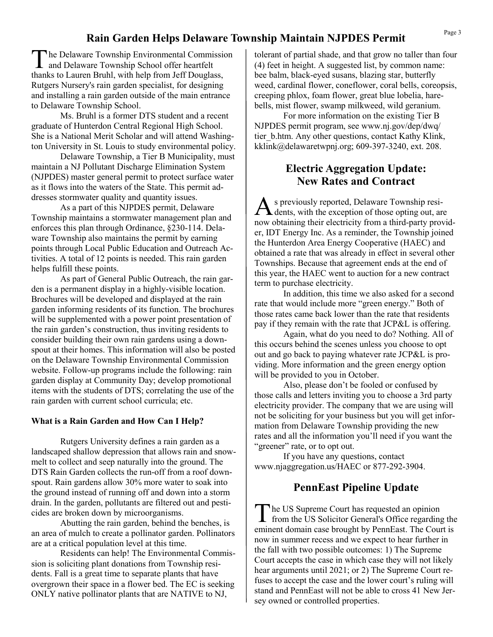# **Rain Garden Helps Delaware Township Maintain NJPDES Permit**

T he Delaware Township Environmental Commission and Delaware Township School offer heartfelt thanks to Lauren Bruhl, with help from Jeff Douglass, Rutgers Nursery's rain garden specialist, for designing and installing a rain garden outside of the main entrance to Delaware Township School.

Ms. Bruhl is a former DTS student and a recent graduate of Hunterdon Central Regional High School. She is a National Merit Scholar and will attend Washington University in St. Louis to study environmental policy.

Delaware Township, a Tier B Municipality, must maintain a NJ Pollutant Discharge Elimination System (NJPDES) master general permit to protect surface water as it flows into the waters of the State. This permit addresses stormwater quality and quantity issues.

As a part of this NJPDES permit, Delaware Township maintains a stormwater management plan and enforces this plan through Ordinance, §230-114. Delaware Township also maintains the permit by earning points through Local Public Education and Outreach Activities. A total of 12 points is needed. This rain garden helps fulfill these points.

As part of General Public Outreach, the rain garden is a permanent display in a highly-visible location. Brochures will be developed and displayed at the rain garden informing residents of its function. The brochures will be supplemented with a power point presentation of the rain garden's construction, thus inviting residents to consider building their own rain gardens using a downspout at their homes. This information will also be posted on the Delaware Township Environmental Commission website. Follow-up programs include the following: rain garden display at Community Day; develop promotional items with the students of DTS; correlating the use of the rain garden with current school curricula; etc.

#### **What is a Rain Garden and How Can I Help?**

Rutgers University defines a rain garden as a landscaped shallow depression that allows rain and snowmelt to collect and seep naturally into the ground. The DTS Rain Garden collects the run-off from a roof downspout. Rain gardens allow 30% more water to soak into the ground instead of running off and down into a storm drain. In the garden, pollutants are filtered out and pesticides are broken down by microorganisms.

Abutting the rain garden, behind the benches, is an area of mulch to create a pollinator garden. Pollinators are at a critical population level at this time.

Residents can help! The Environmental Commission is soliciting plant donations from Township residents. Fall is a great time to separate plants that have overgrown their space in a flower bed. The EC is seeking ONLY native pollinator plants that are NATIVE to NJ,

tolerant of partial shade, and that grow no taller than four (4) feet in height. A suggested list, by common name: bee balm, black-eyed susans, blazing star, butterfly weed, cardinal flower, coneflower, coral bells, coreopsis, creeping phlox, foam flower, great blue lobelia, harebells, mist flower, swamp milkweed, wild geranium.

For more information on the existing Tier B NJPDES permit program, see www.nj.gov/dep/dwq/ tier\_b.htm. Any other questions, contact Kathy Klink, kklink@delawaretwpnj.org; 609-397-3240, ext. 208.

# **Electric Aggregation Update: New Rates and Contract**

A s previously reported, Delaware Township residents, with the exception of those opting out, are s previously reported, Delaware Township resinow obtaining their electricity from a third-party provider, IDT Energy Inc. As a reminder, the Township joined the Hunterdon Area Energy Cooperative (HAEC) and obtained a rate that was already in effect in several other Townships. Because that agreement ends at the end of this year, the HAEC went to auction for a new contract term to purchase electricity.

In addition, this time we also asked for a second rate that would include more "green energy." Both of those rates came back lower than the rate that residents pay if they remain with the rate that JCP&L is offering.

Again, what do you need to do? Nothing. All of this occurs behind the scenes unless you choose to opt out and go back to paying whatever rate JCP&L is providing. More information and the green energy option will be provided to you in October.

Also, please don't be fooled or confused by those calls and letters inviting you to choose a 3rd party electricity provider. The company that we are using will not be soliciting for your business but you will get information from Delaware Township providing the new rates and all the information you'll need if you want the "greener" rate, or to opt out.

If you have any questions, contact www.njaggregation.us/HAEC or 877-292-3904.

# **PennEast Pipeline Update**

The US Supreme Court has requested an opinion<br>from the US Solicitor General's Office regarding the he US Supreme Court has requested an opinion eminent domain case brought by PennEast. The Court is now in summer recess and we expect to hear further in the fall with two possible outcomes: 1) The Supreme Court accepts the case in which case they will not likely hear arguments until 2021; or 2) The Supreme Court refuses to accept the case and the lower court's ruling will stand and PennEast will not be able to cross 41 New Jersey owned or controlled properties.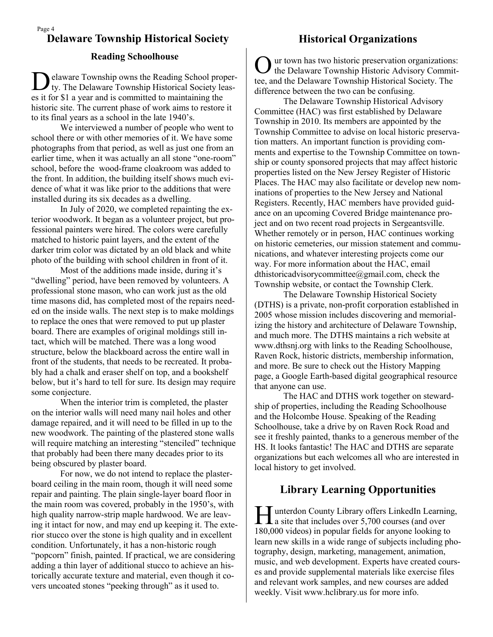#### Page 4 **Delaware Township Historical Society Historical Organizations**

#### **Reading Schoolhouse**

D elaware Township owns the Reading School property. The Delaware Township Historical Society leases it for \$1 a year and is committed to maintaining the historic site. The current phase of work aims to restore it to its final years as a school in the late 1940's.

We interviewed a number of people who went to school there or with other memories of it. We have some photographs from that period, as well as just one from an earlier time, when it was actually an all stone "one-room" school, before the wood-frame cloakroom was added to the front. In addition, the building itself shows much evidence of what it was like prior to the additions that were installed during its six decades as a dwelling.

In July of 2020, we completed repainting the exterior woodwork. It began as a volunteer project, but professional painters were hired. The colors were carefully matched to historic paint layers, and the extent of the darker trim color was dictated by an old black and white photo of the building with school children in front of it.

Most of the additions made inside, during it's "dwelling" period, have been removed by volunteers. A professional stone mason, who can work just as the old time masons did, has completed most of the repairs needed on the inside walls. The next step is to make moldings to replace the ones that were removed to put up plaster board. There are examples of original moldings still intact, which will be matched. There was a long wood structure, below the blackboard across the entire wall in front of the students, that needs to be recreated. It probably had a chalk and eraser shelf on top, and a bookshelf below, but it's hard to tell for sure. Its design may require some conjecture.

When the interior trim is completed, the plaster on the interior walls will need many nail holes and other damage repaired, and it will need to be filled in up to the new woodwork. The painting of the plastered stone walls will require matching an interesting "stenciled" technique that probably had been there many decades prior to its being obscured by plaster board.

For now, we do not intend to replace the plasterboard ceiling in the main room, though it will need some repair and painting. The plain single-layer board floor in the main room was covered, probably in the 1950's, with high quality narrow-strip maple hardwood. We are leaving it intact for now, and may end up keeping it. The exterior stucco over the stone is high quality and in excellent condition. Unfortunately, it has a non-historic rough "popcorn" finish, painted. If practical, we are considering adding a thin layer of additional stucco to achieve an historically accurate texture and material, even though it covers uncoated stones "peeking through" as it used to.

O ur town has two historic preservation organizations: the Delaware Township Historic Advisory Committee, and the Delaware Township Historical Society. The difference between the two can be confusing.

The Delaware Township Historical Advisory Committee (HAC) was first established by Delaware Township in 2010. Its members are appointed by the Township Committee to advise on local historic preservation matters. An important function is providing comments and expertise to the Township Committee on township or county sponsored projects that may affect historic properties listed on the New Jersey Register of Historic Places. The HAC may also facilitate or develop new nominations of properties to the New Jersey and National Registers. Recently, HAC members have provided guidance on an upcoming Covered Bridge maintenance project and on two recent road projects in Sergeantsville. Whether remotely or in person, HAC continues working on historic cemeteries, our mission statement and communications, and whatever interesting projects come our way. For more information about the HAC, email dthistoricadvisorycommittee@gmail.com, check the Township website, or contact the Township Clerk.

The Delaware Township Historical Society (DTHS) is a private, non-profit corporation established in 2005 whose mission includes discovering and memorializing the history and architecture of Delaware Township, and much more. The DTHS maintains a rich website at www.dthsnj.org with links to the Reading Schoolhouse, Raven Rock, historic districts, membership information, and more. Be sure to check out the History Mapping page, a Google Earth-based digital geographical resource that anyone can use.

The HAC and DTHS work together on stewardship of properties, including the Reading Schoolhouse and the Holcombe House. Speaking of the Reading Schoolhouse, take a drive by on Raven Rock Road and see it freshly painted, thanks to a generous member of the HS. It looks fantastic! The HAC and DTHS are separate organizations but each welcomes all who are interested in local history to get involved.

# **Library Learning Opportunities**

Hunterdon County Library offers LinkedIn Learnin<br>
a site that includes over 5,700 courses (and over unterdon County Library offers LinkedIn Learning, 180,000 videos) in popular fields for anyone looking to learn new skills in a wide range of subjects including photography, design, marketing, management, animation, music, and web development. Experts have created courses and provide supplemental materials like exercise files and relevant work samples, and new courses are added weekly. Visit www.hclibrary.us for more info.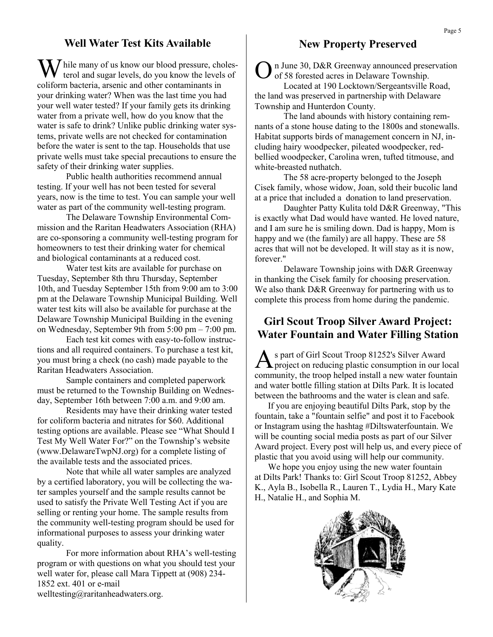# **Well Water Test Kits Available**

While many of us know our blood pressure, choles-<br>terol and sugar levels, do you know the levels of coliform bacteria, arsenic and other contaminants in your drinking water? When was the last time you had your well water tested? If your family gets its drinking water from a private well, how do you know that the water is safe to drink? Unlike public drinking water systems, private wells are not checked for contamination before the water is sent to the tap. Households that use private wells must take special precautions to ensure the safety of their drinking water supplies.

Public health authorities recommend annual testing. If your well has not been tested for several years, now is the time to test. You can sample your well water as part of the community well-testing program.

The Delaware Township Environmental Commission and the Raritan Headwaters Association (RHA) are co-sponsoring a community well-testing program for homeowners to test their drinking water for chemical and biological contaminants at a reduced cost.

Water test kits are available for purchase on Tuesday, September 8th thru Thursday, September 10th, and Tuesday September 15th from 9:00 am to 3:00 pm at the Delaware Township Municipal Building. Well water test kits will also be available for purchase at the Delaware Township Municipal Building in the evening on Wednesday, September 9th from 5:00 pm – 7:00 pm.

Each test kit comes with easy-to-follow instructions and all required containers. To purchase a test kit, you must bring a check (no cash) made payable to the Raritan Headwaters Association.

Sample containers and completed paperwork must be returned to the Township Building on Wednesday, September 16th between 7:00 a.m. and 9:00 am.

Residents may have their drinking water tested for coliform bacteria and nitrates for \$60. Additional testing options are available. Please see "What Should I Test My Well Water For?" on the Township's website (www.DelawareTwpNJ.org) for a complete listing of the available tests and the associated prices.

Note that while all water samples are analyzed by a certified laboratory, you will be collecting the water samples yourself and the sample results cannot be used to satisfy the Private Well Testing Act if you are selling or renting your home. The sample results from the community well-testing program should be used for informational purposes to assess your drinking water quality.

For more information about RHA's well-testing program or with questions on what you should test your well water for, please call Mara Tippett at (908) 234- 1852 ext. 401 or e-mail welltesting@raritanheadwaters.org.

# **New Property Preserved**

O n June 30, D&R Greenway announced preservation of 58 forested acres in Delaware Township.

Located at 190 Locktown/Sergeantsville Road, the land was preserved in partnership with Delaware Township and Hunterdon County.

The land abounds with history containing remnants of a stone house dating to the 1800s and stonewalls. Habitat supports birds of management concern in NJ, including hairy woodpecker, pileated woodpecker, redbellied woodpecker, Carolina wren, tufted titmouse, and white-breasted nuthatch.

The 58 acre-property belonged to the Joseph Cisek family, whose widow, Joan, sold their bucolic land at a price that included a donation to land preservation.

Daughter Patty Kulita told D&R Greenway, "This is exactly what Dad would have wanted. He loved nature, and I am sure he is smiling down. Dad is happy, Mom is happy and we (the family) are all happy. These are 58 acres that will not be developed. It will stay as it is now, forever."

Delaware Township joins with D&R Greenway in thanking the Cisek family for choosing preservation. We also thank D&R Greenway for partnering with us to complete this process from home during the pandemic.

# **Girl Scout Troop Silver Award Project: Water Fountain and Water Filling Station**

As part of Girl Scout Troop 81252's Silver Award<br>project on reducing plastic consumption in our local s part of Girl Scout Troop 81252's Silver Award community, the troop helped install a new water fountain and water bottle filling station at Dilts Park. It is located between the bathrooms and the water is clean and safe.

 If you are enjoying beautiful Dilts Park, stop by the fountain, take a "fountain selfie" and post it to Facebook or Instagram using the hashtag #Diltswaterfountain. We will be counting social media posts as part of our Silver Award project. Every post will help us, and every piece of plastic that you avoid using will help our community.

 We hope you enjoy using the new water fountain at Dilts Park! Thanks to: Girl Scout Troop 81252, Abbey K., Ayla B., Isobella R., Lauren T., Lydia H., Mary Kate H., Natalie H., and Sophia M.

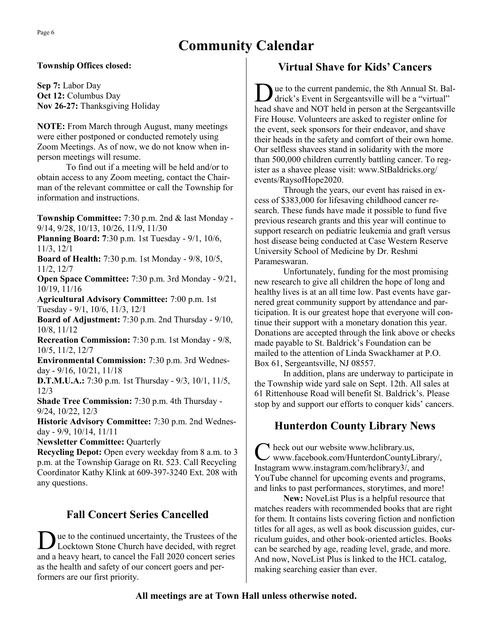# **Community Calendar**

#### **Township Offices closed:**

**Sep 7:** Labor Day **Oct 12:** Columbus Day **Nov 26-27:** Thanksgiving Holiday

**NOTE:** From March through August, many meetings were either postponed or conducted remotely using Zoom Meetings. As of now, we do not know when inperson meetings will resume.

To find out if a meeting will be held and/or to obtain access to any Zoom meeting, contact the Chairman of the relevant committee or call the Township for information and instructions.

**Township Committee:** 7:30 p.m. 2nd & last Monday - 9/14, 9/28, 10/13, 10/26, 11/9, 11/30

**Planning Board: 7**:30 p.m. 1st Tuesday - 9/1, 10/6, 11/3, 12/1

**Board of Health:** 7:30 p.m. 1st Monday - 9/8, 10/5, 11/2, 12/7

**Open Space Committee:** 7:30 p.m. 3rd Monday - 9/21, 10/19, 11/16

**Agricultural Advisory Committee:** 7:00 p.m. 1st Tuesday - 9/1, 10/6, 11/3, 12/1

**Board of Adjustment:** 7:30 p.m. 2nd Thursday - 9/10, 10/8, 11/12

**Recreation Commission:** 7:30 p.m. 1st Monday - 9/8, 10/5, 11/2, 12/7

**Environmental Commission:** 7:30 p.m. 3rd Wednesday - 9/16, 10/21, 11/18

**D.T.M.U.A.:** 7:30 p.m. 1st Thursday - 9/3, 10/1, 11/5, 12/3

**Shade Tree Commission:** 7:30 p.m. 4th Thursday - 9/24, 10/22, 12/3

**Historic Advisory Committee:** 7:30 p.m. 2nd Wednesday - 9/9, 10/14, 11/11

**Newsletter Committee:** Quarterly

**Recycling Depot:** Open every weekday from 8 a.m. to 3 p.m. at the Township Garage on Rt. 523. Call Recycling Coordinator Kathy Klink at 609-397-3240 Ext. 208 with any questions.

# **Fall Concert Series Cancelled**

Due to the continued uncertainty, the Trustees of the Locktown Stone Church have decided, with regret ue to the continued uncertainty, the Trustees of the and a heavy heart, to cancel the Fall 2020 concert series as the health and safety of our concert goers and performers are our first priority.

# **Virtual Shave for Kids' Cancers**

D ue to the current pandemic, the 8th Annual St. Baldrick's Event in Sergeantsville will be a "virtual" head shave and NOT held in person at the Sergeantsville Fire House. Volunteers are asked to register online for the event, seek sponsors for their endeavor, and shave their heads in the safety and comfort of their own home. Our selfless shavees stand in solidarity with the more than 500,000 children currently battling cancer. To register as a shavee please visit: www.StBaldricks.org/ events/RaysofHope2020.

Through the years, our event has raised in excess of \$383,000 for lifesaving childhood cancer research. These funds have made it possible to fund five previous research grants and this year will continue to support research on pediatric leukemia and graft versus host disease being conducted at Case Western Reserve University School of Medicine by Dr. Reshmi Parameswaran.

Unfortunately, funding for the most promising new research to give all children the hope of long and healthy lives is at an all time low. Past events have garnered great community support by attendance and participation. It is our greatest hope that everyone will continue their support with a monetary donation this year. Donations are accepted through the link above or checks made payable to St. Baldrick's Foundation can be mailed to the attention of Linda Swackhamer at P.O. Box 61, Sergeantsville, NJ 08557.

In addition, plans are underway to participate in the Township wide yard sale on Sept. 12th. All sales at 61 Rittenhouse Road will benefit St. Baldrick's. Please stop by and support our efforts to conquer kids' cancers.

# **Hunterdon County Library News**

 $C$  heck out our website www.hclibrary.us,<br>
Www.facebook.com/HunterdonCountyI www.facebook.com/HunterdonCountyLibrary/, Instagram www.instagram.com/hclibrary3/, and YouTube channel for upcoming events and programs, and links to past performances, storytimes, and more!

**New:** NoveList Plus is a helpful resource that matches readers with recommended books that are right for them. It contains lists covering fiction and nonfiction titles for all ages, as well as book discussion guides, curriculum guides, and other book-oriented articles. Books can be searched by age, reading level, grade, and more. And now, NoveList Plus is linked to the HCL catalog, making searching easier than ever.

### **All meetings are at Town Hall unless otherwise noted.**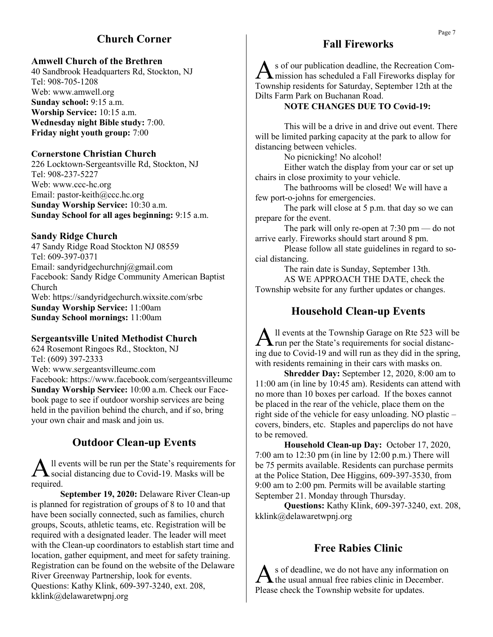# **Church Corner**

#### **Amwell Church of the Brethren**

40 Sandbrook Headquarters Rd, Stockton, NJ Tel: 908-705-1208 Web: www.amwell.org **Sunday school:** 9:15 a.m. **Worship Service:** 10:15 a.m. **Wednesday night Bible study:** 7:00. **Friday night youth group:** 7:00

#### **Cornerstone Christian Church**

226 Locktown-Sergeantsville Rd, Stockton, NJ Tel: 908-237-5227 Web: www.ccc-hc.org Email: pastor-keith@ccc.hc.org **Sunday Worship Service:** 10:30 a.m. **Sunday School for all ages beginning:** 9:15 a.m.

#### **Sandy Ridge Church**

47 Sandy Ridge Road Stockton NJ 08559 Tel: 609-397-0371 Email: sandyridgechurchnj@gmail.com Facebook: Sandy Ridge Community American Baptist Church Web: https://sandyridgechurch.wixsite.com/srbc **Sunday Worship Service:** 11:00am **Sunday School mornings:** 11:00am

#### **Sergeantsville United Methodist Church**

624 Rosemont Ringoes Rd., Stockton, NJ Tel: (609) 397-2333 Web: www.sergeantsvilleumc.com Facebook: https://www.facebook.com/sergeantsvilleumc **Sunday Worship Service:** 10:00 a.m. Check our Facebook page to see if outdoor worship services are being held in the pavilion behind the church, and if so, bring your own chair and mask and join us.

## **Outdoor Clean-up Events**

A <sup>Il</sup> events will be run per the State's requirements is<br>social distancing due to Covid-19. Masks will be ll events will be run per the State's requirements for required.

**September 19, 2020:** Delaware River Clean-up is planned for registration of groups of 8 to 10 and that have been socially connected, such as families, church groups, Scouts, athletic teams, etc. Registration will be required with a designated leader. The leader will meet with the Clean-up coordinators to establish start time and location, gather equipment, and meet for safety training. Registration can be found on the website of the Delaware River Greenway Partnership, look for events. Questions: Kathy Klink, 609-397-3240, ext. 208, kklink@delawaretwpnj.org

# **Fall Fireworks**

A s of our publication deadline, the Recreation Commission has scheduled a Fall Fireworks display for Township residents for Saturday, September 12th at the Dilts Farm Park on Buchanan Road.

#### **NOTE CHANGES DUE TO Covid-19:**

This will be a drive in and drive out event. There will be limited parking capacity at the park to allow for distancing between vehicles.

No picnicking! No alcohol!

Either watch the display from your car or set up chairs in close proximity to your vehicle.

The bathrooms will be closed! We will have a few port-o-johns for emergencies.

The park will close at 5 p.m. that day so we can prepare for the event.

The park will only re-open at 7:30 pm — do not arrive early. Fireworks should start around 8 pm.

Please follow all state guidelines in regard to social distancing.

The rain date is Sunday, September 13th. AS WE APPROACH THE DATE, check the Township website for any further updates or changes.

#### **Household Clean-up Events**

All events at the Township Garage on Rte 523 will b run per the State's requirements for social distancll events at the Township Garage on Rte 523 will be ing due to Covid-19 and will run as they did in the spring, with residents remaining in their cars with masks on.

**Shredder Day:** September 12, 2020, 8:00 am to 11:00 am (in line by 10:45 am). Residents can attend with no more than 10 boxes per carload. If the boxes cannot be placed in the rear of the vehicle, place them on the right side of the vehicle for easy unloading. NO plastic – covers, binders, etc. Staples and paperclips do not have to be removed.

**Household Clean-up Day:** October 17, 2020, 7:00 am to 12:30 pm (in line by 12:00 p.m.) There will be 75 permits available. Residents can purchase permits at the Police Station, Dee Higgins, 609-397-3530, from 9:00 am to 2:00 pm. Permits will be available starting September 21. Monday through Thursday.

**Questions:** Kathy Klink, 609-397-3240, ext. 208, kklink@delawaretwpnj.org

# **Free Rabies Clinic**

As of deadline, we do not have any information of<br>the usual annual free rabies clinic in December. s of deadline, we do not have any information on Please check the Township website for updates.